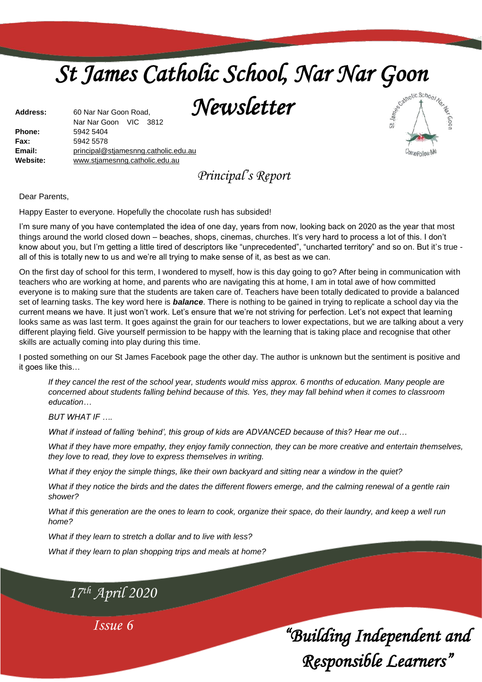# *St James Catholic School, Nar Nar Goon*

*Newsletter* 

| <b>Address:</b> | 60 Nar Nar Goon Road,                |  |  |
|-----------------|--------------------------------------|--|--|
|                 | Nar Nar Goon VIC 3812                |  |  |
| Phone:          | 5942 5404                            |  |  |
| Fax:            | 5942 5578                            |  |  |
| Email:          | principal@stjamesnng.catholic.edu.au |  |  |
| Website:        | www.stjamesnng.catholic.edu.au       |  |  |
|                 |                                      |  |  |

*Principal's Report*

Dear Parents,

Happy Easter to everyone. Hopefully the chocolate rush has subsided!

I'm sure many of you have contemplated the idea of one day, years from now, looking back on 2020 as the year that most things around the world closed down – beaches, shops, cinemas, churches. It's very hard to process a lot of this. I don't know about you, but I'm getting a little tired of descriptors like "unprecedented", "uncharted territory" and so on. But it's true all of this is totally new to us and we're all trying to make sense of it, as best as we can.

On the first day of school for this term, I wondered to myself, how is this day going to go? After being in communication with teachers who are working at home, and parents who are navigating this at home, I am in total awe of how committed everyone is to making sure that the students are taken care of. Teachers have been totally dedicated to provide a balanced set of learning tasks. The key word here is *balance*. There is nothing to be gained in trying to replicate a school day via the current means we have. It just won't work. Let's ensure that we're not striving for perfection. Let's not expect that learning looks same as was last term. It goes against the grain for our teachers to lower expectations, but we are talking about a very different playing field. Give yourself permission to be happy with the learning that is taking place and recognise that other skills are actually coming into play during this time.

I posted something on our St James Facebook page the other day. The author is unknown but the sentiment is positive and it goes like this…

*If they cancel the rest of the school year, students would miss approx. 6 months of education. Many people are concerned about students falling behind because of this. Yes, they may fall behind when it comes to classroom education…*

*BUT WHAT IF ….*

*What if instead of falling 'behind', this group of kids are ADVANCED because of this? Hear me out…*

*What if they have more empathy, they enjoy family connection, they can be more creative and entertain themselves, they love to read, they love to express themselves in writing.*

*What if they enjoy the simple things, like their own backyard and sitting near a window in the quiet?*

*What if they notice the birds and the dates the different flowers emerge, and the calming renewal of a gentle rain shower?*

*What if this generation are the ones to learn to cook, organize their space, do their laundry, and keep a well run home?*

*What if they learn to stretch a dollar and to live with less?*

*What if they learn to plan shopping trips and meals at home?*

*17th April 2020*

*Issue 6*

*"Building Independent and Responsible Learners"* 

Come Follow Me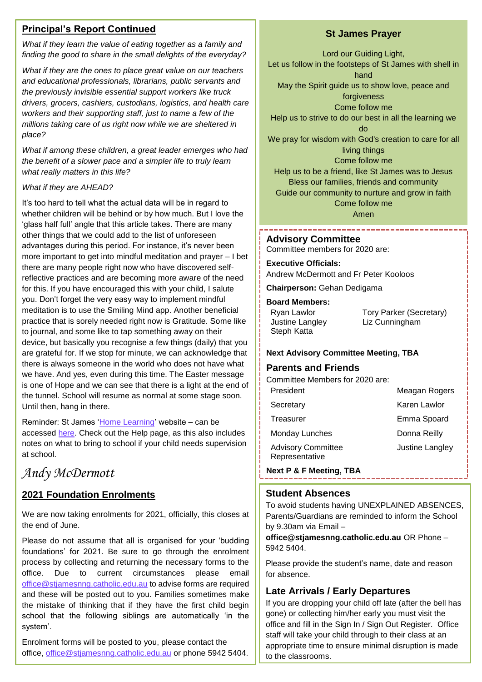#### **Principal's Report Continued**

*What if they learn the value of eating together as a family and finding the good to share in the small delights of the everyday?*

*What if they are the ones to place great value on our teachers and educational professionals, librarians, public servants and the previously invisible essential support workers like truck drivers, grocers, cashiers, custodians, logistics, and health care workers and their supporting staff, just to name a few of the millions taking care of us right now while we are sheltered in place?*

*What if among these children, a great leader emerges who had the benefit of a slower pace and a simpler life to truly learn what really matters in this life?*

#### *What if they are AHEAD?*

It's too hard to tell what the actual data will be in regard to whether children will be behind or by how much. But I love the 'glass half full' angle that this article takes. There are many other things that we could add to the list of unforeseen advantages during this period. For instance, it's never been more important to get into mindful meditation and prayer – I bet there are many people right now who have discovered selfreflective practices and are becoming more aware of the need for this. If you have encouraged this with your child, I salute you. Don't forget the very easy way to implement mindful meditation is to use the Smiling Mind app. Another beneficial practice that is sorely needed right now is Gratitude. Some like to journal, and some like to tap something away on their device, but basically you recognise a few things (daily) that you are grateful for. If we stop for minute, we can acknowledge that there is always someone in the world who does not have what we have. And yes, even during this time. The Easter message is one of Hope and we can see that there is a light at the end of the tunnel. School will resume as normal at some stage soon. Until then, hang in there.

Reminder: St James ['Home Learning'](https://sites.google.com/stjamesnng.catholic.edu.au/st-james-elearning-tools/home) website – can be accessed [here.](https://sites.google.com/stjamesnng.catholic.edu.au/st-james-elearning-tools/home) Check out the Help page, as this also includes notes on what to bring to school if your child needs supervision at school.

### *Andy McDermott*

#### **2021 Foundation Enrolments**

We are now taking enrolments for 2021, officially, this closes at the end of June.

Please do not assume that all is organised for your 'budding foundations' for 2021. Be sure to go through the enrolment process by collecting and returning the necessary forms to the office. Due to current circumstances please email [office@stjamesnng.catholic.edu.au](mailto:office@stjamesnng.catholic.edu.au) to advise forms are required and these will be posted out to you. Families sometimes make the mistake of thinking that if they have the first child begin school that the following siblings are automatically 'in the system'.

Enrolment forms will be posted to you, please contact the office, [office@stjamesnng.catholic.edu.au](mailto:office@stjamesnng.catholic.edu.au) or phone 5942 5404.

#### **St James Prayer**

Lord our Guiding Light, Let us follow in the footsteps of St James with shell in hand May the Spirit guide us to show love, peace and forgiveness Come follow me Help us to strive to do our best in all the learning we do We pray for wisdom with God's creation to care for all living things Come follow me Help us to be a friend, like St James was to Jesus Bless our families, friends and community Guide our community to nurture and grow in faith Come follow me

Amen

#### **Advisory Committee**

Committee members for 2020 are:

---------------

#### **Executive Officials:**

Andrew McDermott and Fr Peter Kooloos

**Chairperson:** Gehan Dedigama

#### **Board Members:**

| Ryan Lawlor     |  |
|-----------------|--|
| Justine Langley |  |
| Steph Katta     |  |

Tory Parker (Secretary) Liz Cunningham

#### **Next Advisory Committee Meeting, TBA**

#### **Parents and Friends**

| Committee Members for 2020 are:             |                 |
|---------------------------------------------|-----------------|
| President                                   | Meagan Rogers   |
| Secretary                                   | Karen Lawlor    |
| Treasurer                                   | Emma Spoard     |
| <b>Monday Lunches</b>                       | Donna Reilly    |
| <b>Advisory Committee</b><br>Representative | Justine Langley |
|                                             |                 |

**Next P & F Meeting, TBA**

#### **Student Absences**

To avoid students having UNEXPLAINED ABSENCES, Parents/Guardians are reminded to inform the School by 9.30am via Email –

**office@stjamesnng.catholic.edu.au** OR Phone – 5942 5404.

Please provide the student's name, date and reason for absence.

#### **Late Arrivals / Early Departures**

2 office and fill in the Sign In / Sign Out Register. Office If you are dropping your child off late (after the bell has gone) or collecting him/her early you must visit the staff will take your child through to their class at an appropriate time to ensure minimal disruption is made to the classrooms.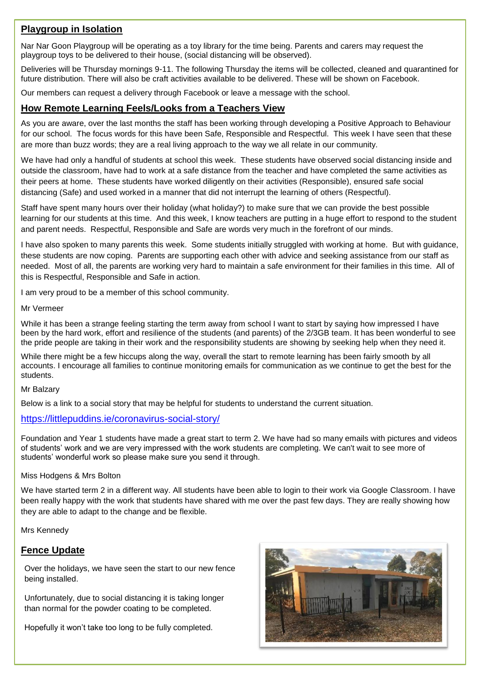#### **Playgroup in Isolation**

Nar Nar Goon Playgroup will be operating as a toy library for the time being. Parents and carers may request the playgroup toys to be delivered to their house, (social distancing will be observed).

Deliveries will be Thursday mornings 9-11. The following Thursday the items will be collected, cleaned and quarantined for future distribution. There will also be craft activities available to be delivered. These will be shown on Facebook.

Our members can request a delivery through Facebook or leave a message with the school.

#### **How Remote Learning Feels/Looks from a Teachers View**

As you are aware, over the last months the staff has been working through developing a Positive Approach to Behaviour for our school. The focus words for this have been Safe, Responsible and Respectful. This week I have seen that these are more than buzz words; they are a real living approach to the way we all relate in our community.

We have had only a handful of students at school this week. These students have observed social distancing inside and outside the classroom, have had to work at a safe distance from the teacher and have completed the same activities as their peers at home. These students have worked diligently on their activities (Responsible), ensured safe social distancing (Safe) and used worked in a manner that did not interrupt the learning of others (Respectful).

Staff have spent many hours over their holiday (what holiday?) to make sure that we can provide the best possible learning for our students at this time. And this week, I know teachers are putting in a huge effort to respond to the student and parent needs. Respectful, Responsible and Safe are words very much in the forefront of our minds.

I have also spoken to many parents this week. Some students initially struggled with working at home. But with guidance, these students are now coping. Parents are supporting each other with advice and seeking assistance from our staff as needed. Most of all, the parents are working very hard to maintain a safe environment for their families in this time. All of this is Respectful, Responsible and Safe in action.

I am very proud to be a member of this school community.

#### Mr Vermeer

While it has been a strange feeling starting the term away from school I want to start by saying how impressed I have been by the hard work, effort and resilience of the students (and parents) of the 2/3GB team. It has been wonderful to see the pride people are taking in their work and the responsibility students are showing by seeking help when they need it.

While there might be a few hiccups along the way, overall the start to remote learning has been fairly smooth by all accounts. I encourage all families to continue monitoring emails for communication as we continue to get the best for the students.

#### Mr Balzary

Below is a link to a social story that may be helpful for students to understand the current situation.

#### <https://littlepuddins.ie/coronavirus-social-story/>

Foundation and Year 1 students have made a great start to term 2. We have had so many emails with pictures and videos of students' work and we are very impressed with the work students are completing. We can't wait to see more of students' wonderful work so please make sure you send it through.

#### Miss Hodgens & Mrs Bolton

We have started term 2 in a different way. All students have been able to login to their work via Google Classroom. I have been really happy with the work that students have shared with me over the past few days. They are really showing how they are able to adapt to the change and be flexible.

Mrs Kennedy

#### **Fence Update**

Over the holidays, we have seen the start to our new fence being installed.

Unfortunately, due to social distancing it is taking longer than normal for the powder coating to be completed.

Hopefully it won't take too long to be fully completed.